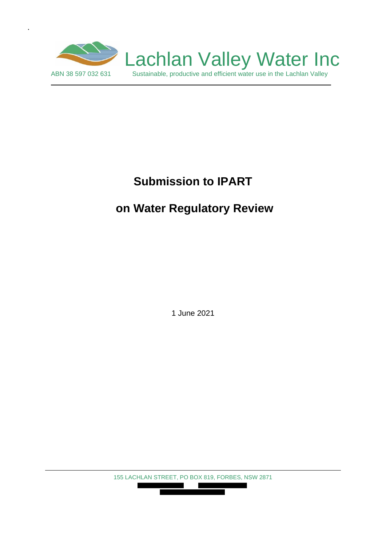

.

# **Submission to IPART**

# **on Water Regulatory Review**

1 June 2021

155 LACHLAN STREET, PO BOX 819, FORBES, NSW 2871 

П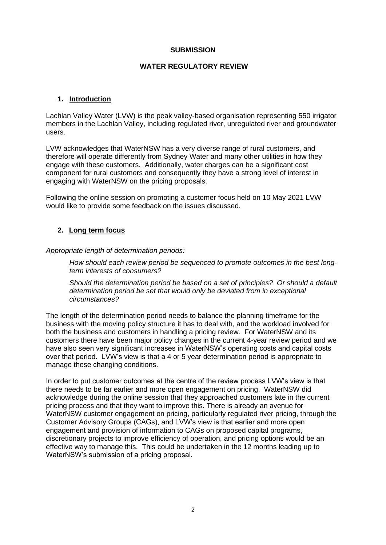#### **SUBMISSION**

#### **WATER REGULATORY REVIEW**

#### **1. Introduction**

Lachlan Valley Water (LVW) is the peak valley-based organisation representing 550 irrigator members in the Lachlan Valley, including regulated river, unregulated river and groundwater users.

LVW acknowledges that WaterNSW has a very diverse range of rural customers, and therefore will operate differently from Sydney Water and many other utilities in how they engage with these customers. Additionally, water charges can be a significant cost component for rural customers and consequently they have a strong level of interest in engaging with WaterNSW on the pricing proposals.

Following the online session on promoting a customer focus held on 10 May 2021 LVW would like to provide some feedback on the issues discussed.

#### **2. Long term focus**

*Appropriate length of determination periods:*

*How should each review period be sequenced to promote outcomes in the best longterm interests of consumers?*

*Should the determination period be based on a set of principles? Or should a default determination period be set that would only be deviated from in exceptional circumstances?*

The length of the determination period needs to balance the planning timeframe for the business with the moving policy structure it has to deal with, and the workload involved for both the business and customers in handling a pricing review. For WaterNSW and its customers there have been major policy changes in the current 4-year review period and we have also seen very significant increases in WaterNSW's operating costs and capital costs over that period. LVW's view is that a 4 or 5 year determination period is appropriate to manage these changing conditions.

In order to put customer outcomes at the centre of the review process LVW's view is that there needs to be far earlier and more open engagement on pricing. WaterNSW did acknowledge during the online session that they approached customers late in the current pricing process and that they want to improve this. There is already an avenue for WaterNSW customer engagement on pricing, particularly regulated river pricing, through the Customer Advisory Groups (CAGs), and LVW's view is that earlier and more open engagement and provision of information to CAGs on proposed capital programs, discretionary projects to improve efficiency of operation, and pricing options would be an effective way to manage this. This could be undertaken in the 12 months leading up to WaterNSW's submission of a pricing proposal.